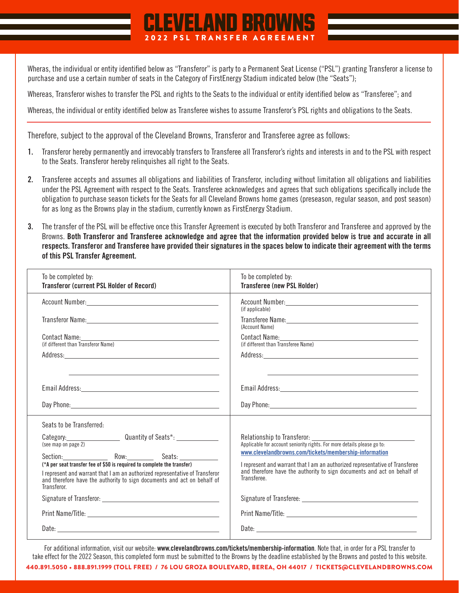## Wheras, the individual or entity identified below as "Transferor" is party to a Permanent Seat License ("PSL") granting Transferor a license to purchase and use a certain number of seats in the Category of FirstEnergy Stadium indicated below (the "Seats");

2022 PSL TRANSFER AGREEMENT

EVELAND BROV

Whereas, Transferor wishes to transfer the PSL and rights to the Seats to the individual or entity identified below as "Transferee"; and

Whereas, the individual or entity identified below as Transferee wishes to assume Transferor's PSL rights and obligations to the Seats.

Therefore, subject to the approval of the Cleveland Browns, Transferor and Transferee agree as follows:

- **1.** Transferor hereby permanently and irrevocably transfers to Transferee all Transferor's rights and interests in and to the PSL with respect to the Seats. Transferor hereby relinquishes all right to the Seats.
- **2.** Transferee accepts and assumes all obligations and liabilities of Transferor, including without limitation all obligations and liabilities under the PSL Agreement with respect to the Seats. Transferee acknowledges and agrees that such obligations specifically include the obligation to purchase season tickets for the Seats for all Cleveland Browns home games (preseason, regular season, and post season) for as long as the Browns play in the stadium, currently known as FirstEnergy Stadium.
- **3.** The transfer of the PSL will be effective once this Transfer Agreement is executed by both Transferor and Transferee and approved by the Browns. **Both Transferor and Transferee acknowledge and agree that the information provided below is true and accurate in all respects. Transferor and Transferee have provided their signatures in the spaces below to indicate their agreement with the terms of this PSL Transfer Agreement.**

| To be completed by:<br><b>Transferor (current PSL Holder of Record)</b>                                                                                                                                                                                                                                                                                | To be completed by:<br><b>Transferee (new PSL Holder)</b>                                                                                                                                                                                                                                                                                  |
|--------------------------------------------------------------------------------------------------------------------------------------------------------------------------------------------------------------------------------------------------------------------------------------------------------------------------------------------------------|--------------------------------------------------------------------------------------------------------------------------------------------------------------------------------------------------------------------------------------------------------------------------------------------------------------------------------------------|
|                                                                                                                                                                                                                                                                                                                                                        | (if applicable)                                                                                                                                                                                                                                                                                                                            |
|                                                                                                                                                                                                                                                                                                                                                        | (Account Name)                                                                                                                                                                                                                                                                                                                             |
| Contact Name: Name and Second Contact Name and Second Contact Name and Second Contact Name and Second Contact N<br>(if different than Transferor Name)                                                                                                                                                                                                 | Contact Name: Name and Second Contact Name and Second Contact Name and Second Contact Name and Second Contact N<br>(if different than Transferee Name)                                                                                                                                                                                     |
|                                                                                                                                                                                                                                                                                                                                                        |                                                                                                                                                                                                                                                                                                                                            |
| <u> 1999 - Jan James James James James James James James James James James James James James James James James J</u><br>Day Phone: New York and the Contract of the Contract of the Contract of the Contract of the Contract of the Contract of the Contract of the Contract of the Contract of the Contract of the Contract of the Contract of the Co | Day Phone: Note that the contract of the contract of the contract of the contract of the contract of the contract of the contract of the contract of the contract of the contract of the contract of the contract of the contr                                                                                                             |
| Seats to be Transferred:                                                                                                                                                                                                                                                                                                                               |                                                                                                                                                                                                                                                                                                                                            |
| (see map on page 2)<br>(*A per seat transfer fee of \$50 is required to complete the transfer)<br>I represent and warrant that I am an authorized representative of Transferor<br>and therefore have the authority to sign documents and act on behalf of<br>Transferor.                                                                               | Relationship to Transferor:<br>Applicable for account seniority rights. For more details please go to:<br>www.clevelandbrowns.com/tickets/membership-information<br>I represent and warrant that I am an authorized representative of Transferee<br>and therefore have the authority to sign documents and act on behalf of<br>Transferee. |
|                                                                                                                                                                                                                                                                                                                                                        |                                                                                                                                                                                                                                                                                                                                            |
|                                                                                                                                                                                                                                                                                                                                                        |                                                                                                                                                                                                                                                                                                                                            |
|                                                                                                                                                                                                                                                                                                                                                        |                                                                                                                                                                                                                                                                                                                                            |

For additional information, visit our website: **www.clevelandbrowns.com/tickets/membership-information**. Note that, in order for a PSL transfer to take effect for the 2022 Season, this completed form must be submitted to the Browns by the deadline established by the Browns and posted to this website.